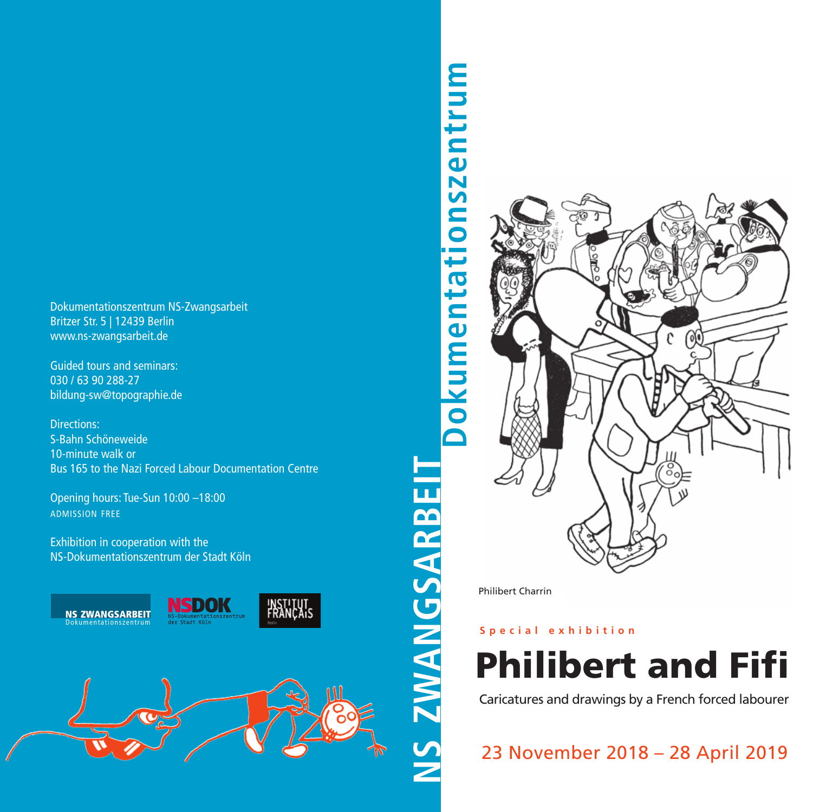Dokumentationszentrum NS-Zwangsarbeit Britzer Str. 5 | 12439 Berlin www.ns-zwangsarbeit.de

Guided tours and seminars: 030 / 63 90 288-27 bildung-sw@topographie.de

Directions: S-Bahn Schöneweide 10-minute walk or Bus 165 to the Nazi Forced Labour Documentation Centre

Opening hours: Tue-Sun 10:00 –18:00 ADMISSION FREE

Exhibition in cooperation with the NS-Dokumentationszentrum der Stadt Köln



# **Do k u m e n t a tio n s z e n t r u m EIT**



Philibert Charrin

**A R B**

## **S p e c i a l e x h i b i t i o n**

**Philibert and Fifi**

Caricatures and drawings by a French forced labourer

23 November 2018 – 28 April 2019